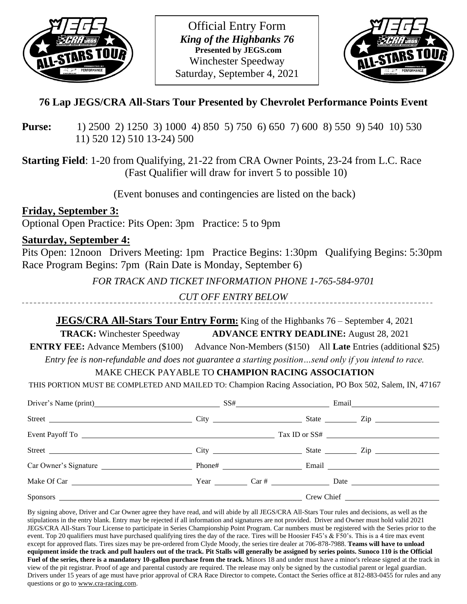

Official Entry Form *King of the Highbanks 76* **Presented by JEGS.com** Winchester Speedway Saturday, September 4, 2021



# **76 Lap JEGS/CRA All-Stars Tour Presented by Chevrolet Performance Points Event**

**Purse:** 1) 2500 2) 1250 3) 1000 4) 850 5) 750 6) 650 7) 600 8) 550 9) 540 10) 530 11) 520 12) 510 13-24) 500

**Starting Field**: 1-20 from Qualifying, 21-22 from CRA Owner Points, 23-24 from L.C. Race (Fast Qualifier will draw for invert 5 to possible 10)

(Event bonuses and contingencies are listed on the back)

**Friday, September 3:** Optional Open Practice: Pits Open: 3pm Practice: 5 to 9pm

## **Saturday, September 4:**

Pits Open: 12noon Drivers Meeting: 1pm Practice Begins: 1:30pm Qualifying Begins: 5:30pm Race Program Begins: 7pm (Rain Date is Monday, September 6)

*FOR TRACK AND TICKET INFORMATION PHONE 1-765-584-9701*

*CUT OFF ENTRY BELOW*

## **JEGS/CRA All-Stars Tour Entry Form:** King of the Highbanks 76 – September 4, 2021

**TRACK:** Winchester Speedway **ADVANCE ENTRY DEADLINE:** August 28, 2021

**ENTRY FEE:** Advance Members (\$100) Advance Non-Members (\$150) All **Late** Entries (additional \$25) *Entry fee is non-refundable and does not guarantee a starting position…send only if you intend to race.*

## MAKE CHECK PAYABLE TO **CHAMPION RACING ASSOCIATION**

THIS PORTION MUST BE COMPLETED AND MAILED TO: Champion Racing Association, PO Box 502, Salem, IN, 47167

| Driver's Name (print) SS# Email |  |  |                                  |
|---------------------------------|--|--|----------------------------------|
|                                 |  |  | State <u>Zip</u>                 |
|                                 |  |  |                                  |
|                                 |  |  |                                  |
| Car Owner's Signature           |  |  | Phone# Email Email Email Phone # |
|                                 |  |  |                                  |
|                                 |  |  |                                  |

By signing above, Driver and Car Owner agree they have read, and will abide by all JEGS/CRA All-Stars Tour rules and decisions, as well as the stipulations in the entry blank. Entry may be rejected if all information and signatures are not provided. Driver and Owner must hold valid 2021 JEGS/CRA All-Stars Tour License to participate in Series Championship Point Program. Car numbers must be registered with the Series prior to the event. Top 20 qualifiers must have purchased qualifying tires the day of the race. Tires will be Hoosier F45's & F50's. This is a 4 tire max event except for approved flats. Tires sizes may be pre-ordered from Clyde Moody, the series tire dealer at 706-878-7988. **Teams will have to unload equipment inside the track and pull haulers out of the track. Pit Stalls will generally be assigned by series points. Sunoco 110 is the Official Fuel of the series, there is a mandatory 10-gallon purchase from the track.** Minors 18 and under must have a minor's release signed at the track in view of the pit registrar. Proof of age and parental custody are required. The release may only be signed by the custodial parent or legal guardian. Drivers under 15 years of age must have prior approval of CRA Race Director to compete**.** Contact the Series office at 812-883-0455 for rules and any questions or go t[o www.cra-racing.com.](http://www.cra-racing.com/)